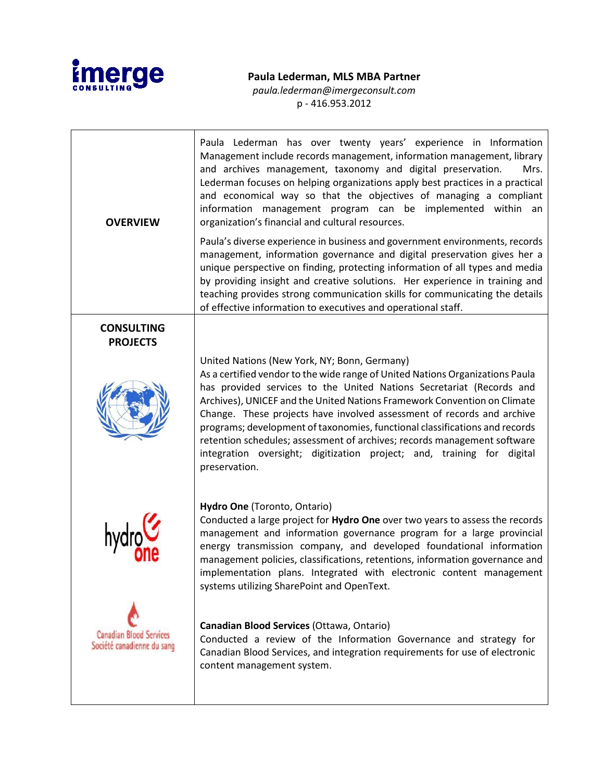

## **Paula Lederman, MLS MBA Partner**

*paula.lederman@imergeconsult.com* p - 416.953.2012

| <b>OVERVIEW</b>                                              | Paula Lederman has over twenty years' experience in Information<br>Management include records management, information management, library<br>and archives management, taxonomy and digital preservation.<br>Mrs.<br>Lederman focuses on helping organizations apply best practices in a practical<br>and economical way so that the objectives of managing a compliant<br>information management program can be implemented within an<br>organization's financial and cultural resources.                                                                                                                         |
|--------------------------------------------------------------|-------------------------------------------------------------------------------------------------------------------------------------------------------------------------------------------------------------------------------------------------------------------------------------------------------------------------------------------------------------------------------------------------------------------------------------------------------------------------------------------------------------------------------------------------------------------------------------------------------------------|
|                                                              | Paula's diverse experience in business and government environments, records<br>management, information governance and digital preservation gives her a<br>unique perspective on finding, protecting information of all types and media<br>by providing insight and creative solutions. Her experience in training and<br>teaching provides strong communication skills for communicating the details<br>of effective information to executives and operational staff.                                                                                                                                             |
| <b>CONSULTING</b><br><b>PROJECTS</b>                         |                                                                                                                                                                                                                                                                                                                                                                                                                                                                                                                                                                                                                   |
|                                                              | United Nations (New York, NY; Bonn, Germany)<br>As a certified vendor to the wide range of United Nations Organizations Paula<br>has provided services to the United Nations Secretariat (Records and<br>Archives), UNICEF and the United Nations Framework Convention on Climate<br>Change. These projects have involved assessment of records and archive<br>programs; development of taxonomies, functional classifications and records<br>retention schedules; assessment of archives; records management software<br>integration oversight; digitization project; and, training for digital<br>preservation. |
|                                                              | Hydro One (Toronto, Ontario)<br>Conducted a large project for Hydro One over two years to assess the records<br>management and information governance program for a large provincial<br>energy transmission company, and developed foundational information<br>management policies, classifications, retentions, information governance and<br>implementation plans. Integrated with electronic content management<br>systems utilizing SharePoint and OpenText.                                                                                                                                                  |
| <b>Canadian Blood Services</b><br>Société canadienne du sang | Canadian Blood Services (Ottawa, Ontario)<br>Conducted a review of the Information Governance and strategy for<br>Canadian Blood Services, and integration requirements for use of electronic<br>content management system.                                                                                                                                                                                                                                                                                                                                                                                       |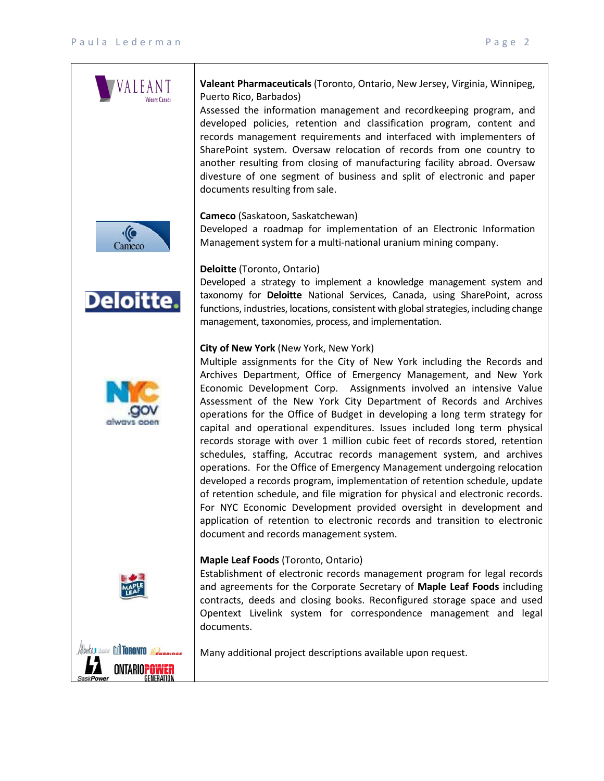